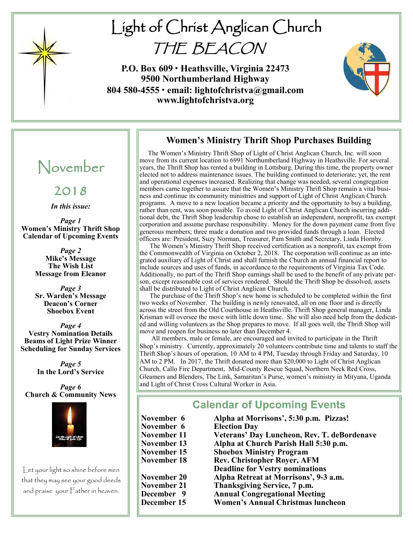

# Light of Christ Anglican Church THE BEACON

**P.O. Box 609 • Heathsville, Virginia 22473 9500 Northumberland Highway 804 580-4555 • email: lightofchristva@gmail.com www.lightofchristva.org**



## **Women's Ministry Thrift Shop Purchases Building**

 The Women's Ministry Thrift Shop of Light of Christ Anglican Church, Inc. will soon move from its current location to 6991 Northumberland Highway in Heathsville. For several years, the Thrift Shop has rented a building in Lottsburg. During this time, the property owner elected not to address maintenance issues. The building continued to deteriorate; yet, the rent and operational expenses increased. Realizing that change was needed, several congregation members came together to assure that the Women's Ministry Thrift Shop remain a vital business and continue its community ministries and support of Light of Christ Anglican Church programs. A move to a new location became a priority and the opportunity to buy a building, rather than rent, was soon possible. To avoid Light of Christ Anglican Church incurring additional debt, the Thrift Shop leadership chose to establish an independent, nonprofit, tax exempt corporation and assume purchase responsibility. Money for the down payment came from five generous members; three made a donation and two provided funds through a loan. Elected officers are: President, Suzy Norman, Treasurer, Pam Smith and Secretary, Linda Hornby.

 The Women's Ministry Thrift Shop received certification as a nonprofit, tax exempt from the Commonwealth of Virginia on October 2, 2018. The corporation will continue as an integrated auxiliary of Light of Christ and shall furnish the Church an annual financial report to include sources and uses of funds, in accordance to the requirements of Virginia Tax Code. Additionally, no part of the Thrift Shop earnings shall be used to the benefit of any private person, except reasonable cost of services rendered. Should the Thrift Shop be dissolved, assets shall be distributed to Light of Christ Anglican Church.

 The purchase of the Thrift Shop's new home is scheduled to be completed within the first two weeks of November. The building is newly renovated, all on one floor and is directly across the street from the Old Courthouse in Heathsville. Thrift Shop general manager, Linda Krisman will oversee the move with little down time. She will also need help from the dedicated and willing volunteers as the Shop prepares to move. If all goes well, the Thrift Shop will move and reopen for business no later than December 4.

 All members, male or female, are encouraged and invited to participate in the Thrift Shop's ministry. Currently, approximately 20 volunteers contribute time and talents to staff the Thrift Shop's hours of operation, 10 AM to 4 PM, Tuesday through Friday and Saturday, 10 AM to 2 PM. In 2017, the Thrift donated more than \$20,000 to Light of Christ Anglican Church, Callo Fire Department, Mid-County Rescue Squad, Northern Neck Red Cross, Gleamers and Blenders, The Link, Samaritan's Purse, women's ministry in Mityana, Uganda and Light of Christ Cross Cultural Worker in Asia.

## **Calendar of Upcoming Events**

- **November 15 Shoebox Ministry Program**
- 
- 
- **November 6 Alpha at Morrisons', 5:30 p.m. Pizzas! November 6 Election Day November 11 Veterans' Day Luncheon, Rev. T. deBordenave**
- **November 13 Alpha at Church Parish Hall 5:30 p.m.**
	-
	- **Rev. Christopher Royer, AFM**
	- **Deadline for Vestry nominations**
- **November 20 Alpha Retreat at Morrisons', 9-3 a.m.**
- **November 21 Thanksgiving Service, 7 p.m.**
	- **Annual Congregational Meeting**
- **December 15 Women's Annual Christmas luncheon**

## November

2018

*In this issue:*

*Page 1* **Women's Ministry Thrift Shop Calendar of Upcoming Events**

> *Page 2* **Mike's Message The Wish List Message from Eleanor**

> *Page 3* **Sr. Warden's Message Deacon's Corner Shoebox Event**

*Page 4* **Vestry Nomination Details Beams of Light Prize Winner Scheduling for Sunday Services**

> *Page 5* **In the Lord's Service**

*Page 6* **Church & Community News**



Let your light so shine before men that they may see your good deeds and praise your Father in heaven.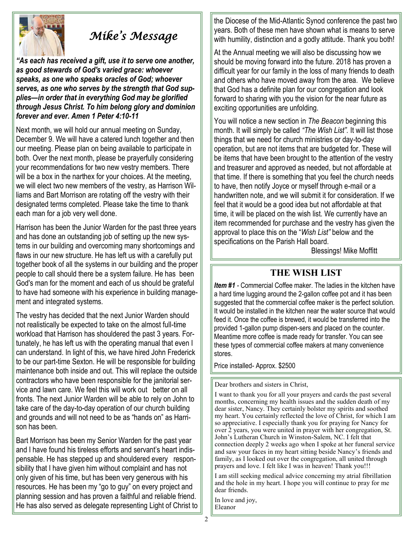

## *Mike's Message*

*"As each has received a gift, use it to serve one another, as good stewards of God's varied grace: whoever speaks, as one who speaks oracles of God; whoever serves, as one who serves by the strength that God supplies—in order that in everything God may be glorified through Jesus Christ. To him belong glory and dominion forever and ever. Amen 1 Peter 4:10-11*

Next month, we will hold our annual meeting on Sunday, December 9. We will have a catered lunch together and then our meeting. Please plan on being available to participate in both. Over the next month, please be prayerfully considering your recommendations for two new vestry members. There will be a box in the narthex for your choices. At the meeting, we will elect two new members of the vestry, as Harrison Williams and Bart Morrison are rotating off the vestry with their designated terms completed. Please take the time to thank each man for a job very well done.

Harrison has been the Junior Warden for the past three years and has done an outstanding job of setting up the new systems in our building and overcoming many shortcomings and flaws in our new structure. He has left us with a carefully put together book of all the systems in our building and the proper people to call should there be a system failure. He has been God's man for the moment and each of us should be grateful to have had someone with his experience in building management and integrated systems.

The vestry has decided that the next Junior Warden should not realistically be expected to take on the almost full-time workload that Harrison has shouldered the past 3 years. Fortunately, he has left us with the operating manual that even I can understand. In light of this, we have hired John Frederick to be our part-time Sexton. He will be responsible for building maintenance both inside and out. This will replace the outside contractors who have been responsible for the janitorial service and lawn care. We feel this will work out better on all fronts. The next Junior Warden will be able to rely on John to take care of the day-to-day operation of our church building and grounds and will not need to be as "hands on" as Harrison has been.

Bart Morrison has been my Senior Warden for the past year and I have found his tireless efforts and servant's heart indispensable. He has stepped up and shouldered every responsibility that I have given him without complaint and has not only given of his time, but has been very generous with his resources. He has been my "go to guy" on every project and planning session and has proven a faithful and reliable friend. He has also served as delegate representing Light of Christ to

the Diocese of the Mid-Atlantic Synod conference the past two years. Both of these men have shown what is means to serve with humility, distinction and a godly attitude. Thank you both!

At the Annual meeting we will also be discussing how we should be moving forward into the future. 2018 has proven a difficult year for our family in the loss of many friends to death and others who have moved away from the area. We believe that God has a definite plan for our congregation and look forward to sharing with you the vision for the near future as exciting opportunities are unfolding.

You will notice a new section in *The Beacon* beginning this month. It will simply be called *"The Wish List".* It will list those things that we need for church ministries or day-to-day operation, but are not items that are budgeted for. These will be items that have been brought to the attention of the vestry and treasurer and approved as needed, but not affordable at that time. If there is something that you feel the church needs to have, then notify Joyce or myself through e-mail or a handwritten note, and we will submit it for consideration. If we feel that it would be a good idea but not affordable at that time, it will be placed on the wish list. We currently have an item recommended for purchase and the vestry has given the approval to place this on the "*Wish List"* below and the specifications on the Parish Hall board.

Blessings! Mike Moffitt

#### **THE WISH LIST**

*Item #1 -* Commercial Coffee maker. The ladies in the kitchen have a hard time lugging around the 2-gallon coffee pot and it has been suggested that the commercial coffee maker is the perfect solution. It would be installed in the kitchen near the water source that would feed it. Once the coffee is brewed, it would be transferred into the provided 1-gallon pump dispen-sers and placed on the counter. Meantime more coffee is made ready for transfer. You can see these types of commercial coffee makers at many convenience stores.

Price installed- Approx. \$2500

Dear brothers and sisters in Christ,

I want to thank you for all your prayers and cards the past several months, concerning my health issues and the sudden death of my dear sister, Nancy. They certainly bolster my spirits and soothed my heart. You certainly reflected the love of Christ, for which I am so appreciative. I especially thank you for praying for Nancy for over 2 years, you were united in prayer with her congregation, St. John's Lutheran Church in Winston-Salem, NC. I felt that connection deeply 2 weeks ago when I spoke at her funeral service and saw your faces in my heart sitting beside Nancy's friends and family, as I looked out over the congregation, all united through prayers and love. I felt like I was in heaven! Thank you!!!

I am still seeking medical advice concerning my atrial fibrillation and the hole in my heart. I hope you will continue to pray for me dear friends.

In love and joy, Eleanor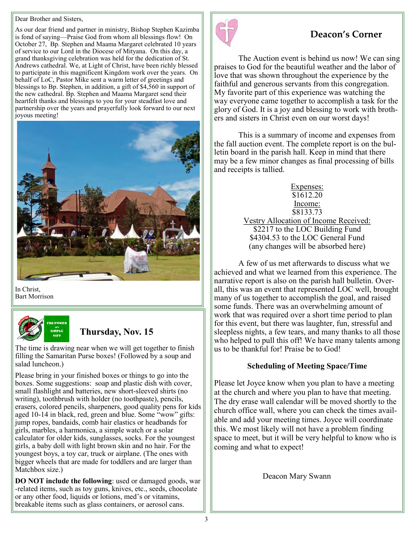#### Dear Brother and Sisters,

As our dear friend and partner in ministry, Bishop Stephen Kazimba is fond of saying—Praise God from whom all blessings flow! On October 27, Bp. Stephen and Maama Margaret celebrated 10 years of service to our Lord in the Diocese of Mityana. On this day, a grand thanksgiving celebration was held for the dedication of St. Andrews cathedral. We, at Light of Christ, have been richly blessed to participate in this magnificent Kingdom work over the years. On behalf of LoC, Pastor Mike sent a warm letter of greetings and blessings to Bp. Stephen, in addition, a gift of \$4,560 in support of the new cathedral. Bp. Stephen and Maama Margaret send their heartfelt thanks and blessings to you for your steadfast love and partnership over the years and prayerfully look forward to our next joyous meeting!



In Christ, Bart Morrison



## **Thursday, Nov. 15**

The time is drawing near when we will get together to finish filling the Samaritan Purse boxes! (Followed by a soup and salad luncheon.)

Please bring in your finished boxes or things to go into the boxes. Some suggestions: soap and plastic dish with cover, small flashlight and batteries, new short-sleeved shirts (no writing), toothbrush with holder (no toothpaste), pencils, erasers, colored pencils, sharpeners, good quality pens for kids aged 10-14 in black, red, green and blue. Some "wow" gifts: jump ropes, bandaids, comb hair elastics or headbands for girls, marbles, a harmonica, a simple watch or a solar calculator for older kids, sunglasses, socks. For the youngest girls, a baby doll with light brown skin and no hair. For the youngest boys, a toy car, truck or airplane. (The ones with bigger wheels that are made for toddlers and are larger than Matchbox size.)

**DO NOT include the following**: used or damaged goods, war -related items, such as toy guns, knives, etc., seeds, chocolate or any other food, liquids or lotions, med's or vitamins, breakable items such as glass containers, or aerosol cans.



## **Deacon's Corner**

The Auction event is behind us now! We can sing praises to God for the beautiful weather and the labor of love that was shown throughout the experience by the faithful and generous servants from this congregation. My favorite part of this experience was watching the way everyone came together to accomplish a task for the glory of God. It is a joy and blessing to work with brothers and sisters in Christ even on our worst days!

This is a summary of income and expenses from the fall auction event. The complete report is on the bulletin board in the parish hall. Keep in mind that there may be a few minor changes as final processing of bills and receipts is tallied.

> Expenses: \$1612.20 Income: \$8133.73

Vestry Allocation of Income Received: \$2217 to the LOC Building Fund \$4304.53 to the LOC General Fund (any changes will be absorbed here)

A few of us met afterwards to discuss what we achieved and what we learned from this experience. The narrative report is also on the parish hall bulletin. Overall, this was an event that represented LOC well, brought many of us together to accomplish the goal, and raised some funds. There was an overwhelming amount of work that was required over a short time period to plan for this event, but there was laughter, fun, stressful and sleepless nights, a few tears, and many thanks to all those who helped to pull this off! We have many talents among us to be thankful for! Praise be to God!

#### **Scheduling of Meeting Space/Time**

Please let Joyce know when you plan to have a meeting at the church and where you plan to have that meeting. The dry erase wall calendar will be moved shortly to the church office wall, where you can check the times available and add your meeting times. Joyce will coordinate this. We most likely will not have a problem finding space to meet, but it will be very helpful to know who is coming and what to expect!

Deacon Mary Swann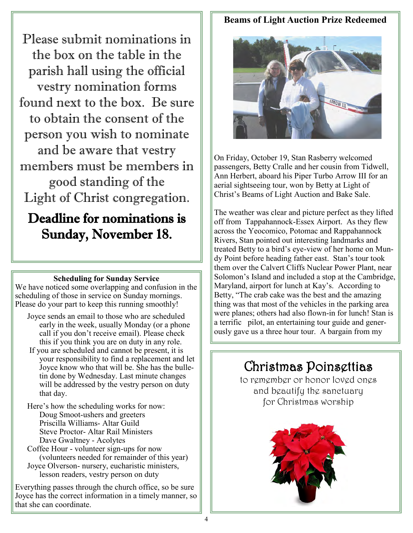Please submit nominations in the box on the table in the parish hall using the official vestry nomination forms found next to the box. Be sure to obtain the consent of the person you wish to nominate and be aware that vestry members must be members in good standing of the Light of Christ congregation.

## Deadline for nominations is Sunday, November 18.

#### **Scheduling for Sunday Service**

We have noticed some overlapping and confusion in the scheduling of those in service on Sunday mornings. Please do your part to keep this running smoothly!

- Joyce sends an email to those who are scheduled early in the week, usually Monday (or a phone call if you don't receive email). Please check this if you think you are on duty in any role.
- If you are scheduled and cannot be present, it is your responsibility to find a replacement and let Joyce know who that will be. She has the bulletin done by Wednesday. Last minute changes will be addressed by the vestry person on duty that day.

Here's how the scheduling works for now: Doug Smoot-ushers and greeters Priscilla Williams- Altar Guild Steve Proctor- Altar Rail Ministers Dave Gwaltney - Acolytes

Coffee Hour - volunteer sign-ups for now (volunteers needed for remainder of this year) Joyce Olverson- nursery, eucharistic ministers, lesson readers, vestry person on duty

Everything passes through the church office, so be sure Joyce has the correct information in a timely manner, so that she can coordinate.

## **Beams of Light Auction Prize Redeemed**



On Friday, October 19, Stan Rasberry welcomed passengers, Betty Cralle and her cousin from Tidwell, Ann Herbert, aboard his Piper Turbo Arrow III for an aerial sightseeing tour, won by Betty at Light of Christ's Beams of Light Auction and Bake Sale.

The weather was clear and picture perfect as they lifted off from Tappahannock-Essex Airport. As they flew across the Yeocomico, Potomac and Rappahannock Rivers, Stan pointed out interesting landmarks and treated Betty to a bird's eye-view of her home on Mundy Point before heading father east. Stan's tour took them over the Calvert Cliffs Nuclear Power Plant, near Solomon's Island and included a stop at the Cambridge, Maryland, airport for lunch at Kay's. According to Betty, "The crab cake was the best and the amazing thing was that most of the vehicles in the parking area were planes; others had also flown-in for lunch! Stan is a terrific pilot, an entertaining tour guide and generously gave us a three hour tour. A bargain from my

## Christmas Poinsettias

to remember or honor loved ones and beautify the sanctuary for Christmas worship

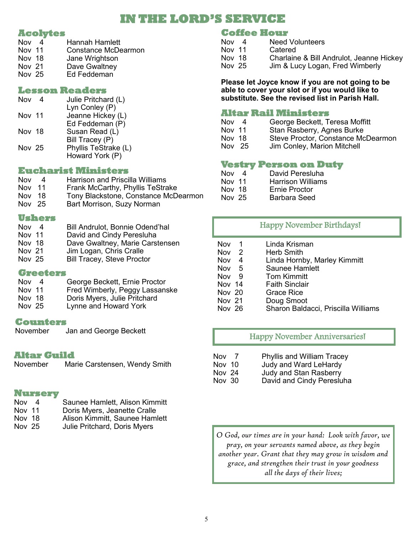## **IN THE LORD'S SERVICE**

#### **Acolytes**

| Nov 4  | Hannah Hamlett      |
|--------|---------------------|
| Nov 11 | Constance McDearmon |
| Nov 18 | Jane Wrightson      |
| Nov 21 | Dave Gwaltney       |
| Nov 25 | Ed Feddeman         |
|        |                     |

#### **Lesson Readers**

| Nov           | Julie Pritchard (L)  |
|---------------|----------------------|
|               | Lyn Conley (P)       |
| Nov 11        | Jeanne Hickey (L)    |
|               | Ed Feddeman (P)      |
| Nov 18        | Susan Read (L)       |
|               | Bill Tracey (P)      |
| <b>Nov 25</b> | Phyllis TeStrake (L) |
|               | Howard York (P)      |

#### **Eucharist Ministers**

| Δ      | <b>Harrison and Priscilla Williams</b> |
|--------|----------------------------------------|
| Nov 11 | Frank McCarthy, Phyllis TeStrake       |
| Nov 18 | Tony Blackstone, Constance McDearmon   |
| Nov 25 | Bart Morrison, Suzy Norman             |
|        |                                        |

#### **Ushers**

| Nov           | 4 | <b>Bill Andrulot, Bonnie Odend'hal</b> |
|---------------|---|----------------------------------------|
| <b>Nov 11</b> |   | David and Cindy Peresluha              |
| Nov 18        |   | Dave Gwaltney, Marie Carstensen        |
| Nov 21        |   | Jim Logan, Chris Cralle                |
| Nov 25        |   | <b>Bill Tracey, Steve Proctor</b>      |
|               |   |                                        |

#### **Greeters**

| $-4$   | George Beckett, Ernie Proctor  |
|--------|--------------------------------|
| Nov 11 | Fred Wimberly, Peggy Lassanske |
| Nov 18 | Doris Myers, Julie Pritchard   |
| Nov 25 | Lynne and Howard York          |
|        |                                |

#### **Counters**

November Jan and George Beckett

#### **Altar Guild**

November Marie Carstensen, Wendy Smith

#### **Nursery**

| Nov 4 |  | Saunee Hamlett, Alison Kimmitt |  |  |
|-------|--|--------------------------------|--|--|
| - -   |  |                                |  |  |

- Nov 11 Doris Myers, Jeanette Cralle
- Nov 18 Alison Kimmitt, Saunee Hamlett<br>Nov 25 Julie Pritchard, Doris Myers
- Julie Pritchard, Doris Myers

### **Coffee Hour**

| <b>Nov</b> | 4 | <b>Need Volunteers</b>                   |
|------------|---|------------------------------------------|
| Nov 11     |   | Catered                                  |
| Nov 18     |   | Charlaine & Bill Andrulot, Jeanne Hickey |
| Nov 25     |   | Jim & Lucy Logan, Fred Wimberly          |

#### **Please let Joyce know if you are not going to be able to cover your slot or if you would like to substitute. See the revised list in Parish Hall.**

## **Altar Rail Ministers**

- George Beckett, Teresa Moffitt Nov 11 Stan Rasberry, Agnes Burke<br>Nov 18 Steve Proctor, Constance Mo Steve Proctor, Constance McDearmon
- Nov 25 Jim Conley, Marion Mitchell

## **Vestry Person on Duty**

- Nov 4 David Peresluha<br>Nov 11 Harrison Williams Harrison Williams
- Nov 18 Ernie Proctor
- Nov 25 Barbara Seed

## Happy November Birthdays!

| Nov<br>$\mathbf 1$<br>Nov<br>- 2<br><b>Nov</b><br>-4<br>Nov <sub>5</sub><br>Nov<br>- 9<br>Nov 14<br>Nov 20<br>Nov 21 | Linda Krisman<br>Herb Smith<br>Linda Hornby, Marley Kimmitt<br>Saunee Hamlett<br><b>Tom Kimmitt</b><br><b>Faith Sinclair</b><br><b>Grace Rice</b><br>Doug Smoot |
|----------------------------------------------------------------------------------------------------------------------|-----------------------------------------------------------------------------------------------------------------------------------------------------------------|
|                                                                                                                      |                                                                                                                                                                 |
| Nov 26                                                                                                               | Sharon Baldacci, Priscilla Williams                                                                                                                             |
|                                                                                                                      |                                                                                                                                                                 |

### Happy November Anniversaries!

- Nov 7 Phyllis and William Tracey Nov 10 Judy and Ward LeHardy<br>Nov 24 Judy and Stan Rasberry Judy and Stan Rasberry
- Nov 30 David and Cindy Peresluha

*O God, our times are in your hand: Look with favor, we pray, on your servants named above, as they begin another year. Grant that they may grow in wisdom and grace, and strengthen their trust in your goodness all the days of their lives;*